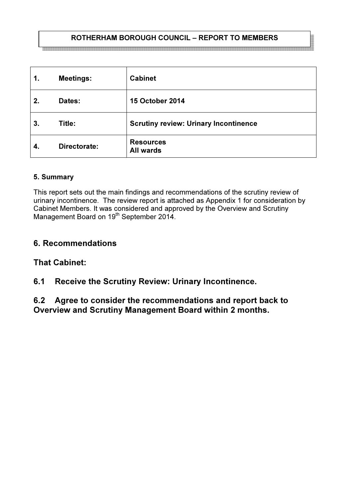## ROTHERHAM BOROUGH COUNCIL – REPORT TO MEMBERS

| 1.  | <b>Meetings:</b> | <b>Cabinet</b>                               |
|-----|------------------|----------------------------------------------|
| 2.  | Dates:           | <b>15 October 2014</b>                       |
| 3.  | Title:           | <b>Scrutiny review: Urinary Incontinence</b> |
| -4. | Directorate:     | <b>Resources</b><br><b>All wards</b>         |

#### 5. Summary

This report sets out the main findings and recommendations of the scrutiny review of urinary incontinence. The review report is attached as Appendix 1 for consideration by Cabinet Members. It was considered and approved by the Overview and Scrutiny Management Board on 19<sup>th</sup> September 2014.

# 6. Recommendations

# That Cabinet:

# 6.1 Receive the Scrutiny Review: Urinary Incontinence.

6.2 Agree to consider the recommendations and report back to Overview and Scrutiny Management Board within 2 months.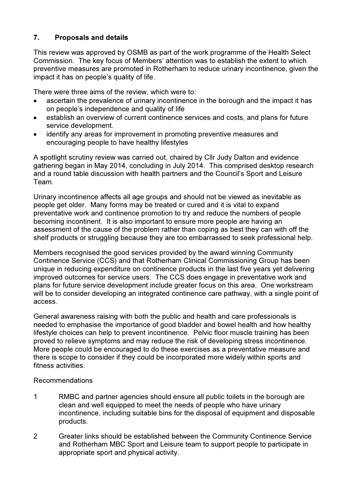## 7. Proposals and details

This review was approved by OSMB as part of the work programme of the Health Select Commission. The key focus of Members' attention was to establish the extent to which preventive measures are promoted in Rotherham to reduce urinary incontinence, given the impact it has on people's quality of life.

There were three aims of the review, which were to:

- ascertain the prevalence of urinary incontinence in the borough and the impact it has on people's independence and quality of life
- establish an overview of current continence services and costs, and plans for future service development.
- identify any areas for improvement in promoting preventive measures and encouraging people to have healthy lifestyles

A spotlight scrutiny review was carried out, chaired by Cllr Judy Dalton and evidence gathering began in May 2014, concluding in July 2014. This comprised desktop research and a round table discussion with health partners and the Council's Sport and Leisure Team.

Urinary incontinence affects all age groups and should not be viewed as inevitable as people get older. Many forms may be treated or cured and it is vital to expand preventative work and continence promotion to try and reduce the numbers of people becoming incontinent. It is also important to ensure more people are having an assessment of the cause of the problem rather than coping as best they can with off the shelf products or struggling because they are too embarrassed to seek professional help.

Members recognised the good services provided by the award winning Community Continence Service (CCS) and that Rotherham Clinical Commissioning Group has been unique in reducing expenditure on continence products in the last five years yet delivering improved outcomes for service users. The CCS does engage in preventative work and plans for future service development include greater focus on this area. One workstream will be to consider developing an integrated continence care pathway, with a single point of access.

General awareness raising with both the public and health and care professionals is needed to emphasise the importance of good bladder and bowel health and how healthy lifestyle choices can help to prevent incontinence. Pelvic floor muscle training has been proved to relieve symptoms and may reduce the risk of developing stress incontinence. More people could be encouraged to do these exercises as a preventative measure and there is scope to consider if they could be incorporated more widely within sports and fitness activities.

#### Recommendations

- 1 RMBC and partner agencies should ensure all public toilets in the borough are clean and well equipped to meet the needs of people who have urinary incontinence, including suitable bins for the disposal of equipment and disposable products.
- 2 Greater links should be established between the Community Continence Service and Rotherham MBC Sport and Leisure team to support people to participate in appropriate sport and physical activity.